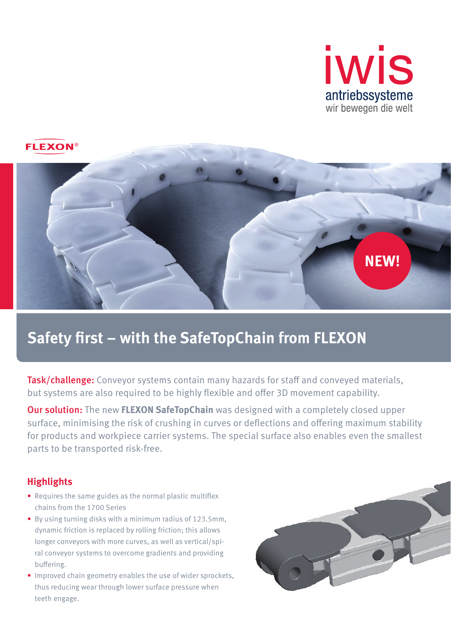



# **Safety first – with the SafeTopChain from FLEXON**

Task/challenge: Conveyor systems contain many hazards for staff and conveyed materials, but systems are also required to be highly flexible and offer 3D movement capability.

Our solution: The new **FLEXON SafeTopChain** was designed with a completely closed upper surface, minimising the risk of crushing in curves or deflections and offering maximum stability for products and workpiece carrier systems. The special surface also enables even the smallest parts to be transported risk-free.

## **Highlights**

- Requires the same guides as the normal plastic multiflex chains from the 1700 Series
- By using turning disks with a minimum radius of 123.5mm, dynamic friction is replaced by rolling friction; this allows longer conveyors with more curves, as well as vertical/spiral conveyor systems to overcome gradients and providing buffering.
- Improved chain geometry enables the use of wider sprockets, thus reducing wear through lower surface pressure when teeth engage.